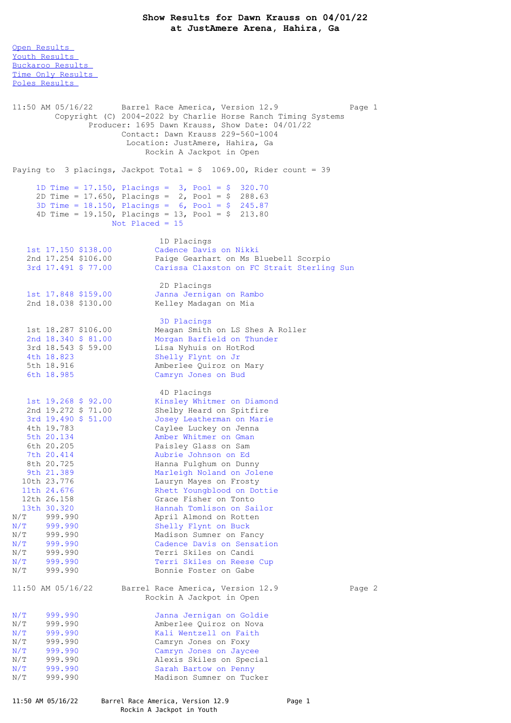Open [Results](file:///C:/Users/flori/Downloads/Show_Results_Dawn_Krauss_04_01_22.html#Open) Youth [Results](file:///C:/Users/flori/Downloads/Show_Results_Dawn_Krauss_04_01_22.html#Youth) [Buckaroo](file:///C:/Users/flori/Downloads/Show_Results_Dawn_Krauss_04_01_22.html#Buckaroo) Results Time Only [Results](file:///C:/Users/flori/Downloads/Show_Results_Dawn_Krauss_04_01_22.html#Time%20Only) Poles [Results](file:///C:/Users/flori/Downloads/Show_Results_Dawn_Krauss_04_01_22.html#Poles) 11:50 AM 05/16/22 Barrel Race America, Version 12.9 Page 1 Copyright (C) 2004-2022 by Charlie Horse Ranch Timing Systems Producer: 1695 Dawn Krauss, Show Date: 04/01/22 Contact: Dawn Krauss 229-560-1004 Location: JustAmere, Hahira, Ga Rockin A Jackpot in Open Paying to 3 placings, Jackpot Total =  $$ 1069.00$ , Rider count = 39 1D Time = 17.150, Placings = 3, Pool = \$ 320.70 2D Time = 17.650, Placings = 2, Pool = \$ 288.63 3D Time = 18.150, Placings = 6, Pool = \$ 245.87 4D Time = 19.150, Placings = 13, Pool = \$ 213.80 Not Placed = 15 1D Placings 1st 17.150 \$138.00 Cadence Davis on Nikki 2nd 17.254 \$106.00 Paige Gearhart on Ms Bluebell Scorpio 3rd 17.491 \$ 77.00 Carissa Claxston on FC Strait Sterling Sun 2D Placings 1st 17.848 \$159.00 Janna Jernigan on Rambo 2nd 18.038 \$130.00 Kelley Madagan on Mia 3D Placings 1st 18.287 \$106.00 Meagan Smith on LS Shes A Roller 2nd 18.340 \$ 81.00 Morgan Barfield on Thunder 3rd 18.543 \$ 59.00 Lisa Nyhuis on HotRod 4th 18.823 Shelly Flynt on Jr 5th 18.916 Amberlee Quiroz on Mary 6th 18.985 Camryn Jones on Bud 4D Placings 1st 19.268 \$ 92.00 Kinsley Whitmer on Diamond 2nd 19.272 \$ 71.00 Shelby Heard on Spitfire 3rd 19.490 \$ 51.00 Josey Leatherman on Marie 4th 19.783 Caylee Luckey on Jenna 5th 20.134 Amber Whitmer on Gman 6th 20.205 Paisley Glass on Sam 7th 20.414 Aubrie Johnson on Ed 8th 20.725 Hanna Fulghum on Dunny 9th 21.389 Marleigh Noland on Jolene 10th 23.776 Lauryn Mayes on Frosty 11th 24.676 Rhett Youngblood on Dottie 12th 26.158 Grace Fisher on Tonto 13th 30.320 Hannah Tomlison on Sailor N/T 999.990 April Almond on Rotten N/T 999.990 Shelly Flynt on Buck N/T 999.990 Madison Sumner on Fancy N/T 999.990 Cadence Davis on Sensation N/T 999.990 Terri Skiles on Candi N/T 999.990 Terri Skiles on Reese Cup<br>N/T 999.990 Bonnie Foster on Gabe Bonnie Foster on Gabe 11:50 AM 05/16/22 Barrel Race America, Version 12.9 Page 2 Rockin A Jackpot in Open N/T 999.990 Janna Jernigan on Goldie<br>N/T 999.990 Amberlee Ouiroz on Nova N/T 999.990 Amberlee Quiroz on Nova<br>N/T 999.990 Kali Wentzell on Faith N/T 999.990 Mali Wentzell on Faith N/T 999.990 Mali Wentzell on Foxy N/T 999.990 Camryn Jones on Foxy N/T 999.990 Camryn Jones on Jaycee N/T 999.990 Alexis Skiles on Special N/T 999.990 Sarah Bartow on Penny<br>N/T 999.990 Madison Sumner on Tucl Madison Sumner on Tucker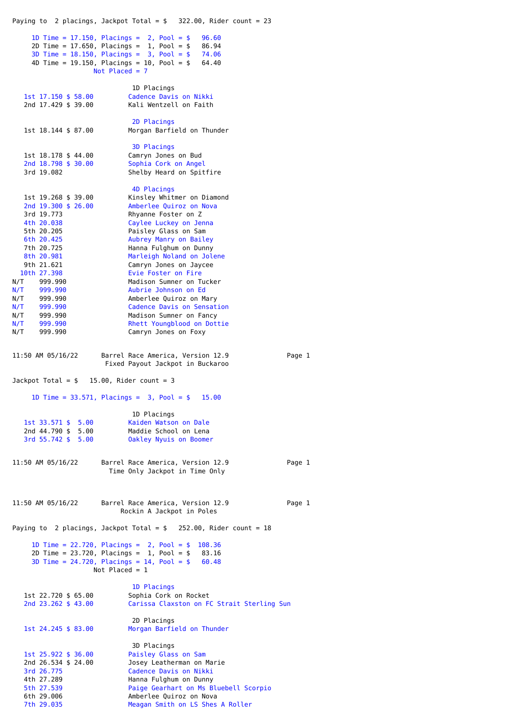Paying to 2 placings, Jackpot Total =  $$$  322.00, Rider count = 23 1D Time = 17.150, Placings = 2, Pool = \$ 96.60 2D Time = 17.650, Placings = 1, Pool =  $$86.94$ 3D Time = 18.150, Placings = 3, Pool = \$ 74.06 4D Time = 19.150, Placings = 10, Pool = \$ 64.40 Not Placed = 7 1D Placings 1st 17.150 \$ 58.00 Cadence Davis on Nikki 2nd 17.429 \$ 39.00 Kali Wentzell on Faith 2D Placings 1st 18.144 \$ 87.00 Morgan Barfield on Thunder 3D Placings 1st 18.178 \$44.00 Camryn Jones on Bud<br>2nd 18.798 \$30.00 Sophia Cork on Angel 2nd 18.798 \$ 30.00 Sophia Cork on Angel Shelby Heard on Spitfire 4D Placings 1st 19.268 \$ 39.00 Kinsley Whitmer on Diamond 2nd 19.300 \$ 26.00 Amberlee Quiroz on Nova 3rd 19.773 Rhyanne Foster on Z 4th 20.038 Caylee Luckey on Jenna 5th 20.205 Paisley Glass on Sam 6th 20.425 Aubrey Manry on Bailey 7th 20.725 Hanna Fulghum on Dunny 8th 20.981 Marleigh Noland on Jolene 9th 21.621 Camryn Jones on Jaycee 10th 27.398 Evie Foster on Fire N/T 999.990 Madison Sumner on Tucker<br>N/T 999.990 Aubrie Johnson on Ed N/T 999.990 Aubrie Johnson on Ed N/T 999.990 Amberlee Quiroz on Mary N/T 999.990 Cadence Davis on Sensation N/T 999.990 Madison Sumner on Fancy<br>N/T 999.990 Rhett Youngblood on Dot Rhett Youngblood on Dottie N/T 999.990 Camryn Jones on Foxy 11:50 AM 05/16/22 Barrel Race America, Version 12.9 Page 1 Fixed Payout Jackpot in Buckaroo Jackpot Total =  $$ 15.00$ , Rider count = 3 1D Time = 33.571, Placings = 3, Pool = \$ 15.00 1D Placings<br>Kaiden Watson on Dale 1st 33.571 \$ 5.00 2nd 44.790 \$ 5.00 Maddie School on Lena<br>3rd 55.742 \$ 5.00 0aklev Nyuis on Boome **Oakley Nyuis on Boomer** 11:50 AM 05/16/22 Barrel Race America, Version 12.9 Page 1 Time Only Jackpot in Time Only 11:50 AM 05/16/22 Barrel Race America, Version 12.9 Page 1 Rockin A Jackpot in Poles Paying to 2 placings, Jackpot Total =  $$252.00$ , Rider count = 18 1D Time = 22.720, Placings = 2, Pool = \$ 108.36 2D Time = 23.720, Placings = 1, Pool = \$ 83.16 3D Time = 24.720, Placings = 14, Pool = \$ 60.48 Not Placed  $= 1$ 1D Placings 1st 22.720 \$ 65.00 Sophia Cork on Rocket<br>2nd 23.262 \$ 43.00 Carissa Claxston on F Carissa Claxston on FC Strait Sterling Sun 2D Placings 1st 24.245 \$ 83.00 Morgan Barfield on Thunder 3D Placings 1st 25.922 \$ 36.00 Paisley Glass on Sam 2nd 26.534 \$ 24.00 Josey Leatherman on Marie 3rd 26.775 Cadence Davis on Nikki 4th 27.289 Hanna Fulghum on Dunny 5th 27.539 Paige Gearhart on Ms Bluebell Scorpio 6th 29.006 Amberlee Quiroz on Nova<br>
Tth 29.035 Meagan Smith on LS Shes

Meagan Smith on LS Shes A Roller